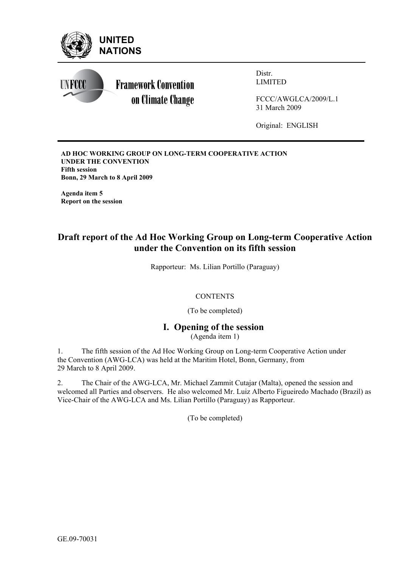

**AD HOC WORKING GROUP ON LONG-TERM COOPERATIVE ACTION UNDER THE CONVENTION Fifth session Bonn, 29 March to 8 April 2009** 

**Agenda item 5 Report on the session** 

# **Draft report of the Ad Hoc Working Group on Long-term Cooperative Action under the Convention on its fifth session**

Rapporteur: Ms. Lilian Portillo (Paraguay)

### **CONTENTS**

(To be completed)

### **I. Opening of the session**  (Agenda item 1)

1. The fifth session of the Ad Hoc Working Group on Long-term Cooperative Action under the Convention (AWG-LCA) was held at the Maritim Hotel, Bonn, Germany, from 29 March to 8 April 2009.

2. The Chair of the AWG-LCA, Mr. Michael Zammit Cutajar (Malta), opened the session and welcomed all Parties and observers. He also welcomed Mr. Luiz Alberto Figueiredo Machado (Brazil) as Vice-Chair of the AWG-LCA and Ms. Lilian Portillo (Paraguay) as Rapporteur.

(To be completed)